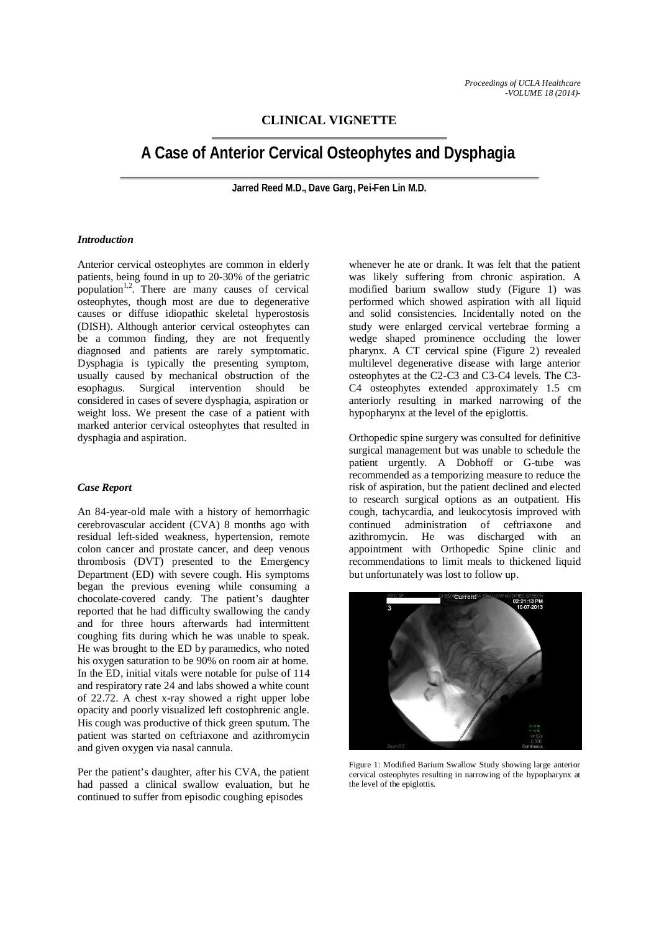## **CLINICAL VIGNETTE**

# **A Case of Anterior Cervical Osteophytes and Dysphagia**

**Jarred Reed M.D., Dave Garg, Pei-Fen Lin M.D.**

#### *Introduction*

Anterior cervical osteophytes are common in elderly patients, being found in up to 20-30% of the geriatric population<sup>1,2</sup>. There are many causes of cervical osteophytes, though most are due to degenerative causes or diffuse idiopathic skeletal hyperostosis (DISH). Although anterior cervical osteophytes can be a common finding, they are not frequently diagnosed and patients are rarely symptomatic. Dysphagia is typically the presenting symptom, usually caused by mechanical obstruction of the esophagus. Surgical intervention should be considered in cases of severe dysphagia, aspiration or weight loss. We present the case of a patient with marked anterior cervical osteophytes that resulted in dysphagia and aspiration.

#### *Case Report*

An 84-year-old male with a history of hemorrhagic cerebrovascular accident (CVA) 8 months ago with residual left-sided weakness, hypertension, remote colon cancer and prostate cancer, and deep venous thrombosis (DVT) presented to the Emergency Department (ED) with severe cough. His symptoms began the previous evening while consuming a chocolate-covered candy. The patient's daughter reported that he had difficulty swallowing the candy and for three hours afterwards had intermittent coughing fits during which he was unable to speak. He was brought to the ED by paramedics, who noted his oxygen saturation to be 90% on room air at home. In the ED, initial vitals were notable for pulse of 114 and respiratory rate 24 and labs showed a white count of 22.72. A chest x-ray showed a right upper lobe opacity and poorly visualized left costophrenic angle. His cough was productive of thick green sputum. The patient was started on ceftriaxone and azithromycin and given oxygen via nasal cannula.

Per the patient's daughter, after his CVA, the patient had passed a clinical swallow evaluation, but he continued to suffer from episodic coughing episodes

whenever he ate or drank. It was felt that the patient was likely suffering from chronic aspiration. A modified barium swallow study (Figure 1) was performed which showed aspiration with all liquid and solid consistencies. Incidentally noted on the study were enlarged cervical vertebrae forming a wedge shaped prominence occluding the lower pharynx. A CT cervical spine (Figure 2) revealed multilevel degenerative disease with large anterior osteophytes at the C2-C3 and C3-C4 levels. The C3- C4 osteophytes extended approximately 1.5 cm anteriorly resulting in marked narrowing of the hypopharynx at the level of the epiglottis.

Orthopedic spine surgery was consulted for definitive surgical management but was unable to schedule the patient urgently. A Dobhoff or G-tube was recommended as a temporizing measure to reduce the risk of aspiration, but the patient declined and elected to research surgical options as an outpatient. His cough, tachycardia, and leukocytosis improved with continued administration of ceftriaxone and azithromycin. He was discharged with an appointment with Orthopedic Spine clinic and recommendations to limit meals to thickened liquid but unfortunately was lost to follow up.



Figure 1: Modified Barium Swallow Study showing large anterior cervical osteophytes resulting in narrowing of the hypopharynx at the level of the epiglottis.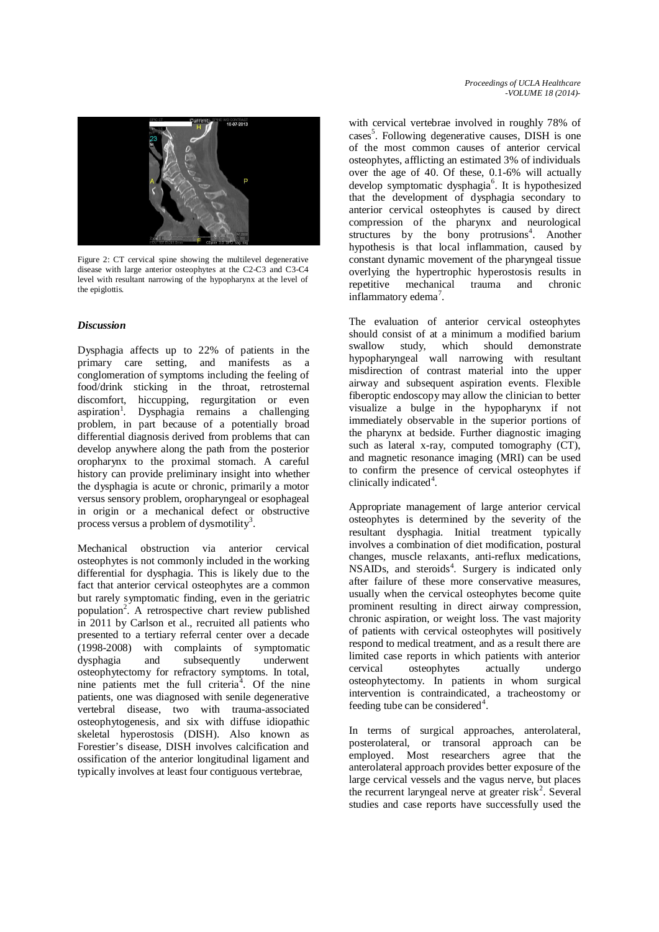

Figure 2: CT cervical spine showing the multilevel degenerative disease with large anterior osteophytes at the C2-C3 and C3-C4 level with resultant narrowing of the hypopharynx at the level of the epiglottis.

### *Discussion*

Dysphagia affects up to 22% of patients in the primary care setting, and manifests as a conglomeration of symptoms including the feeling of food/drink sticking in the throat, retrosternal discomfort, hiccupping, regurgitation or even aspiration<sup>1</sup>. Dysphagia remains a challenging problem, in part because of a potentially broad differential diagnosis derived from problems that can develop anywhere along the path from the posterior oropharynx to the proximal stomach. A careful history can provide preliminary insight into whether the dysphagia is acute or chronic, primarily a motor versus sensory problem, oropharyngeal or esophageal in origin or a mechanical defect or obstructive process versus a problem of dysmotility<sup>3</sup>.

Mechanical obstruction via anterior cervical osteophytes is not commonly included in the working differential for dysphagia. This is likely due to the fact that anterior cervical osteophytes are a common but rarely symptomatic finding, even in the geriatric population<sup>2</sup>. A retrospective chart review published in 2011 by Carlson et al., recruited all patients who presented to a tertiary referral center over a decade (1998-2008) with complaints of symptomatic dysphagia and subsequently underwent osteophytectomy for refractory symptoms. In total, nine patients met the full criteria<sup>4</sup>. Of the nine patients, one was diagnosed with senile degenerative vertebral disease, two with trauma-associated osteophytogenesis, and six with diffuse idiopathic skeletal hyperostosis (DISH). Also known as Forestier's disease, DISH involves calcification and ossification of the anterior longitudinal ligament and typically involves at least four contiguous vertebrae,

with cervical vertebrae involved in roughly 78% of cases<sup>5</sup>. Following degenerative causes, DISH is one of the most common causes of anterior cervical osteophytes, afflicting an estimated 3% of individuals over the age of 40. Of these, 0.1-6% will actually develop symptomatic dysphagia<sup>6</sup>. It is hypothesized that the development of dysphagia secondary to anterior cervical osteophytes is caused by direct compression of the pharynx and neurological structures by the bony protrusions<sup>4</sup>. Another hypothesis is that local inflammation, caused by constant dynamic movement of the pharyngeal tissue overlying the hypertrophic hyperostosis results in repetitive mechanical trauma and chronic inflammatory edema<sup>7</sup>.

The evaluation of anterior cervical osteophytes should consist of at a minimum a modified barium<br>swallow study, which should demonstrate study, which should demonstrate hypopharyngeal wall narrowing with resultant misdirection of contrast material into the upper airway and subsequent aspiration events. Flexible fiberoptic endoscopy may allow the clinician to better visualize a bulge in the hypopharynx if not immediately observable in the superior portions of the pharynx at bedside. Further diagnostic imaging such as lateral x-ray, computed tomography (CT), and magnetic resonance imaging (MRI) can be used to confirm the presence of cervical osteophytes if clinically indicated<sup>4</sup>.

Appropriate management of large anterior cervical osteophytes is determined by the severity of the resultant dysphagia. Initial treatment typically involves a combination of diet modification, postural changes, muscle relaxants, anti-reflux medications, NSAIDs, and steroids<sup>4</sup>. Surgery is indicated only after failure of these more conservative measures, usually when the cervical osteophytes become quite prominent resulting in direct airway compression, chronic aspiration, or weight loss. The vast majority of patients with cervical osteophytes will positively respond to medical treatment, and as a result there are limited case reports in which patients with anterior cervical osteophytes actually undergo osteophytectomy. In patients in whom surgical intervention is contraindicated, a tracheostomy or feeding tube can be considered<sup>4</sup>.

In terms of surgical approaches, anterolateral, posterolateral, or transoral approach can be employed. Most researchers agree that the anterolateral approach provides better exposure of the large cervical vessels and the vagus nerve, but places the recurrent laryngeal nerve at greater risk<sup>2</sup>. Several studies and case reports have successfully used the